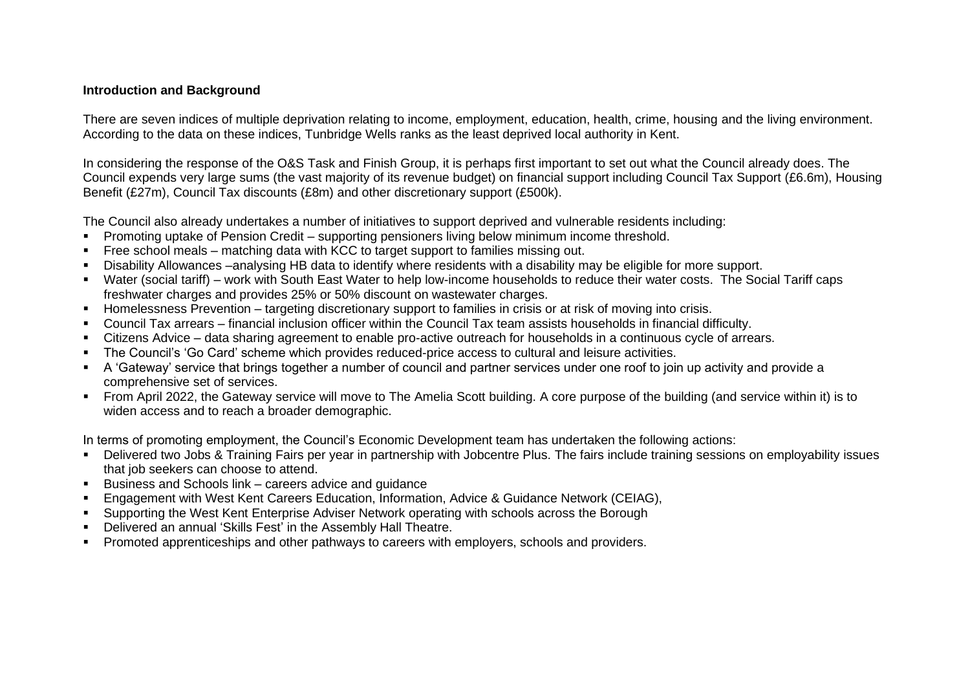## **Introduction and Background**

There are seven indices of multiple deprivation relating to income, employment, education, health, crime, housing and the living environment. According to the data on these indices, Tunbridge Wells ranks as the least deprived local authority in Kent.

In considering the response of the O&S Task and Finish Group, it is perhaps first important to set out what the Council already does. The Council expends very large sums (the vast majority of its revenue budget) on financial support including Council Tax Support (£6.6m), Housing Benefit (£27m), Council Tax discounts (£8m) and other discretionary support (£500k).

The Council also already undertakes a number of initiatives to support deprived and vulnerable residents including:

- Promoting uptake of Pension Credit supporting pensioners living below minimum income threshold.
- Free school meals matching data with KCC to target support to families missing out.
- Disability Allowances –analysing HB data to identify where residents with a disability may be eligible for more support.
- Water (social tariff) work with South East Water to help low-income households to reduce their water costs. The Social Tariff caps freshwater charges and provides 25% or 50% discount on wastewater charges.
- Homelessness Prevention targeting discretionary support to families in crisis or at risk of moving into crisis.
- Council Tax arrears financial inclusion officer within the Council Tax team assists households in financial difficulty.
- Citizens Advice data sharing agreement to enable pro-active outreach for households in a continuous cycle of arrears.
- The Council's 'Go Card' scheme which provides reduced-price access to cultural and leisure activities.
- A 'Gateway' service that brings together a number of council and partner services under one roof to join up activity and provide a comprehensive set of services.
- From April 2022, the Gateway service will move to The Amelia Scott building. A core purpose of the building (and service within it) is to widen access and to reach a broader demographic.

In terms of promoting employment, the Council's Economic Development team has undertaken the following actions:

- Delivered two Jobs & Training Fairs per year in partnership with Jobcentre Plus. The fairs include training sessions on employability issues that job seekers can choose to attend.
- Business and Schools link careers advice and guidance
- **Engagement with West Kent Careers Education, Information, Advice & Guidance Network (CEIAG),**
- **•** Supporting the West Kent Enterprise Adviser Network operating with schools across the Borough
- Delivered an annual 'Skills Fest' in the Assembly Hall Theatre.
- **Promoted apprenticeships and other pathways to careers with employers, schools and providers.**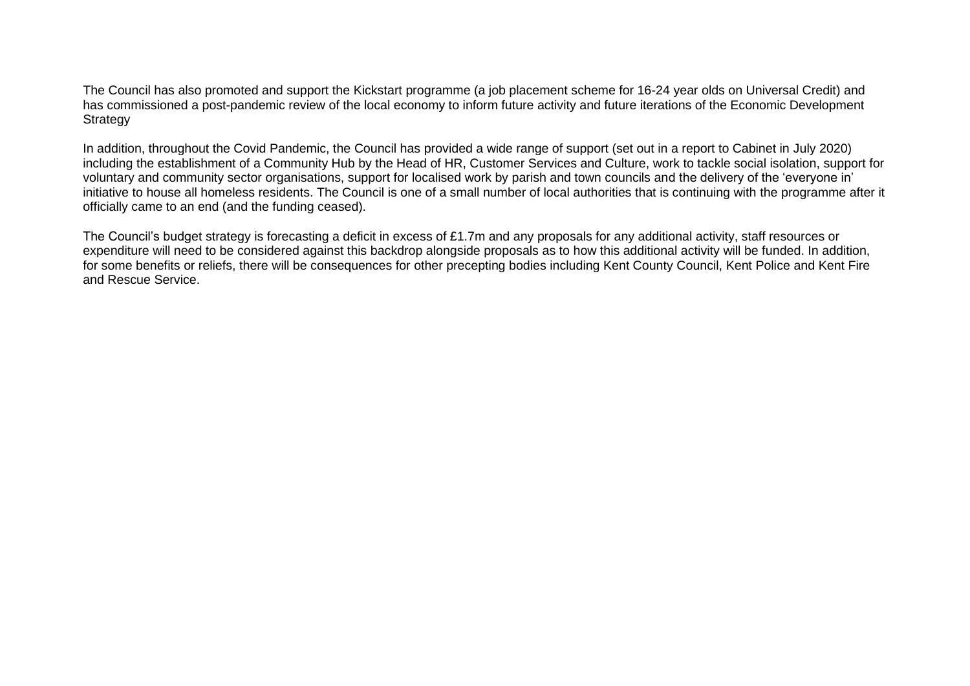The Council has also promoted and support the Kickstart programme (a job placement scheme for 16-24 year olds on Universal Credit) and has commissioned a post-pandemic review of the local economy to inform future activity and future iterations of the Economic Development **Strategy** 

In addition, throughout the Covid Pandemic, the Council has provided a wide range of support (set out in a report to Cabinet in July 2020) including the establishment of a Community Hub by the Head of HR, Customer Services and Culture, work to tackle social isolation, support for voluntary and community sector organisations, support for localised work by parish and town councils and the delivery of the 'everyone in' initiative to house all homeless residents. The Council is one of a small number of local authorities that is continuing with the programme after it officially came to an end (and the funding ceased).

The Council's budget strategy is forecasting a deficit in excess of £1.7m and any proposals for any additional activity, staff resources or expenditure will need to be considered against this backdrop alongside proposals as to how this additional activity will be funded. In addition, for some benefits or reliefs, there will be consequences for other precepting bodies including Kent County Council, Kent Police and Kent Fire and Rescue Service.